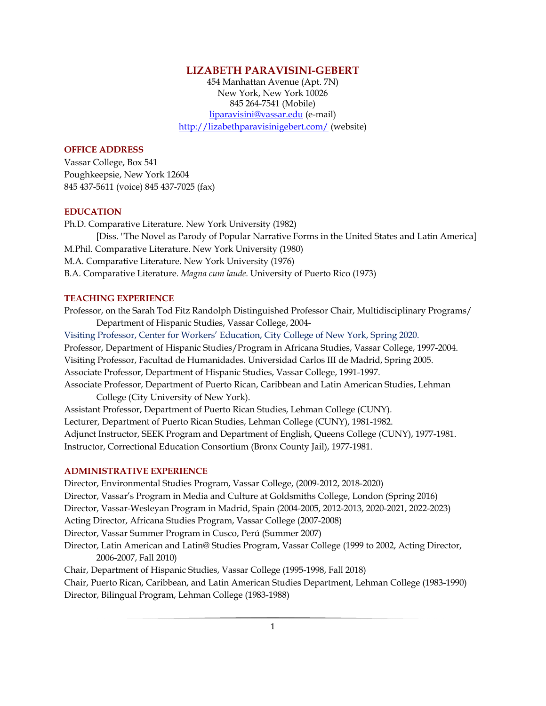## **LIZABETH PARAVISINI-GEBERT**

454 Manhattan Avenue (Apt. 7N) New York, New York 10026 845 264-7541 (Mobile) liparavisini@vassar.edu (e-mail) http://lizabethparavisinigebert.com/ (website)

## **OFFICE ADDRESS**

Vassar College, Box 541 Poughkeepsie, New York 12604 845 437-5611 (voice) 845 437-7025 (fax)

#### **EDUCATION**

Ph.D. Comparative Literature. New York University (1982) [Diss. "The Novel as Parody of Popular Narrative Forms in the United States and Latin America] M.Phil. Comparative Literature. New York University (1980) M.A. Comparative Literature. New York University (1976) B.A. Comparative Literature. *Magna cum laude*. University of Puerto Rico (1973)

#### **TEACHING EXPERIENCE**

Professor, on the Sarah Tod Fitz Randolph Distinguished Professor Chair, Multidisciplinary Programs/ Department of Hispanic Studies, Vassar College, 2004-

Visiting Professor, Center for Workers' Education, City College of New York, Spring 2020. Professor, Department of Hispanic Studies/Program in Africana Studies, Vassar College, 1997-2004. Visiting Professor, Facultad de Humanidades. Universidad Carlos III de Madrid, Spring 2005. Associate Professor, Department of Hispanic Studies, Vassar College, 1991-1997. Associate Professor, Department of Puerto Rican, Caribbean and Latin American Studies, Lehman College (City University of New York). Assistant Professor, Department of Puerto Rican Studies, Lehman College (CUNY). Lecturer, Department of Puerto Rican Studies, Lehman College (CUNY), 1981-1982. Adjunct Instructor, SEEK Program and Department of English, Queens College (CUNY), 1977-1981.

Instructor, Correctional Education Consortium (Bronx County Jail), 1977-1981.

#### **ADMINISTRATIVE EXPERIENCE**

Director, Environmental Studies Program, Vassar College, (2009-2012, 2018-2020) Director, Vassar's Program in Media and Culture at Goldsmiths College, London (Spring 2016) Director, Vassar-Wesleyan Program in Madrid, Spain (2004-2005, 2012-2013, 2020-2021, 2022-2023) Acting Director, Africana Studies Program, Vassar College (2007-2008) Director, Vassar Summer Program in Cusco, Perú (Summer 2007) Director, Latin American and Latin@ Studies Program, Vassar College (1999 to 2002, Acting Director, 2006-2007, Fall 2010) Chair, Department of Hispanic Studies, Vassar College (1995-1998, Fall 2018) Chair, Puerto Rican, Caribbean, and Latin American Studies Department, Lehman College (1983-1990)

Director, Bilingual Program, Lehman College (1983-1988)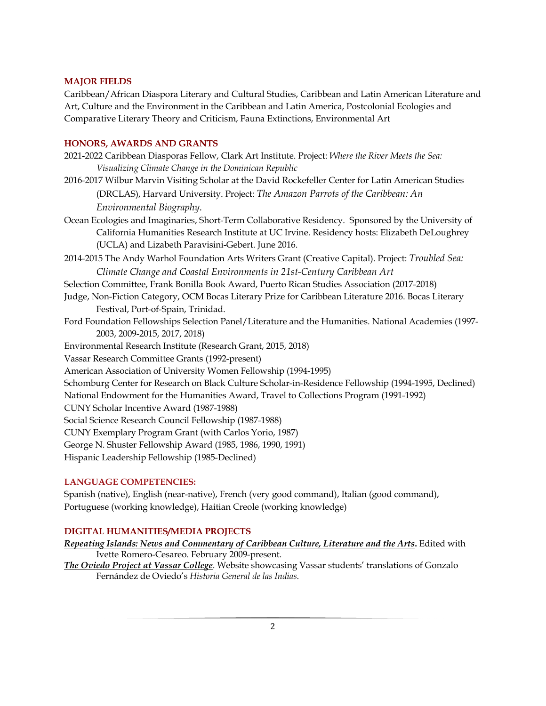## **MAJOR FIELDS**

Caribbean/African Diaspora Literary and Cultural Studies, Caribbean and Latin American Literature and Art, Culture and the Environment in the Caribbean and Latin America, Postcolonial Ecologies and Comparative Literary Theory and Criticism, Fauna Extinctions, Environmental Art

#### **HONORS, AWARDS AND GRANTS**

- 2021-2022 Caribbean Diasporas Fellow, Clark Art Institute. Project: *Where the River Meets the Sea: Visualizing Climate Change in the Dominican Republic*
- 2016-2017 Wilbur Marvin Visiting Scholar at the David Rockefeller Center for Latin American Studies (DRCLAS), Harvard University. Project: *The Amazon Parrots of the Caribbean: An Environmental Biography*.
- Ocean Ecologies and Imaginaries, Short-Term Collaborative Residency. Sponsored by the University of California Humanities Research Institute at UC Irvine. Residency hosts: Elizabeth DeLoughrey (UCLA) and Lizabeth Paravisini-Gebert. June 2016.
- 2014-2015 The Andy Warhol Foundation Arts Writers Grant (Creative Capital). Project: *Troubled Sea: Climate Change and Coastal Environments in 21st-Century Caribbean Art*
- Selection Committee, Frank Bonilla Book Award, Puerto Rican Studies Association (2017-2018)
- Judge, Non-Fiction Category, OCM Bocas Literary Prize for Caribbean Literature 2016. Bocas Literary Festival, Port-of-Spain, Trinidad.
- Ford Foundation Fellowships Selection Panel/Literature and the Humanities. National Academies (1997- 2003, 2009-2015, 2017, 2018)
- Environmental Research Institute (Research Grant, 2015, 2018)
- Vassar Research Committee Grants (1992-present)
- American Association of University Women Fellowship (1994-1995)
- Schomburg Center for Research on Black Culture Scholar-in-Residence Fellowship (1994-1995, Declined)
- National Endowment for the Humanities Award, Travel to Collections Program (1991-1992)
- CUNY Scholar Incentive Award (1987-1988)
- Social Science Research Council Fellowship (1987-1988)
- CUNY Exemplary Program Grant (with Carlos Yorio, 1987)
- George N. Shuster Fellowship Award (1985, 1986, 1990, 1991)
- Hispanic Leadership Fellowship (1985-Declined)

### **LANGUAGE COMPETENCIES:**

Spanish (native), English (near-native), French (very good command), Italian (good command), Portuguese (working knowledge), Haitian Creole (working knowledge)

# **DIGITAL HUMANITIES/MEDIA PROJECTS**

- *Repeating Islands: News and Commentary of Caribbean Culture, Literature and the Arts***.** Edited with Ivette Romero-Cesareo. February 2009-present.
- *The Oviedo Project at Vassar College*. Website showcasing Vassar students' translations of Gonzalo Fernández de Oviedo's *Historia General de las Indias*.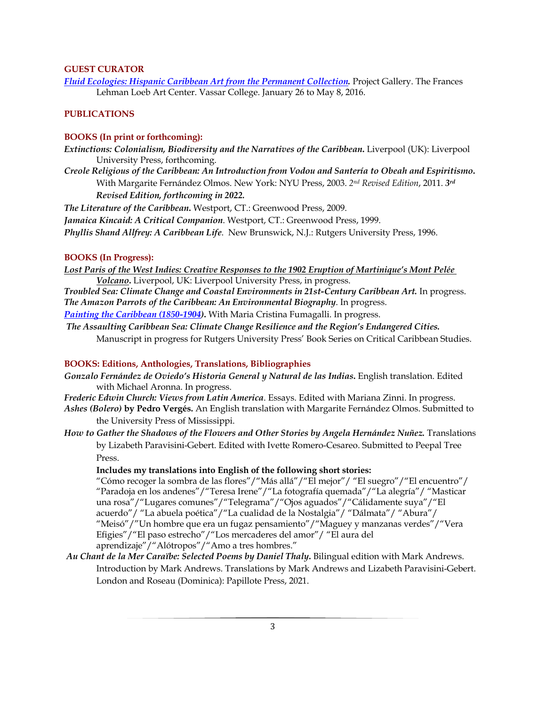# **GUEST CURATOR**

*Fluid Ecologies: Hispanic Caribbean Art from the Permanent Collection.* Project Gallery. The Frances Lehman Loeb Art Center. Vassar College. January 26 to May 8, 2016.

# **PUBLICATIONS**

# **BOOKS (In print or forthcoming):**

*Extinctions: Colonialism, Biodiversity and the Narratives of the Caribbean***.** Liverpool (UK): Liverpool University Press, forthcoming.

*Creole Religious of the Caribbean: An Introduction from Vodou and Santería to Obeah and Espiritismo***.**  With Margarite Fernández Olmos. New York: NYU Press, 2003. *2nd Revised Edition*, 2011. *3rd Revised Edition, forthcoming in 2022.*

*The Literature of the Caribbean***.** Westport, CT.: Greenwood Press, 2009. *Jamaica Kincaid: A Critical Companion*. Westport, CT.: Greenwood Press, 1999. *Phyllis Shand Allfrey: A Caribbean Life*. New Brunswick, N.J.: Rutgers University Press, 1996.

### **BOOKS (In Progress):**

*Lost Paris of the West Indies: Creative Responses to the 1902 Eruption of Martinique's Mont Pelée Volcano***.** Liverpool, UK: Liverpool University Press, in progress.

*Troubled Sea: Climate Change and Coastal Environments in 21st-Century Caribbean Art.* In progress. *The Amazon Parrots of the Caribbean: An Environmental Biography*. In progress.

*Painting the Caribbean (1850-1904)***.** With Maria Cristina Fumagalli. In progress.

*The Assaulting Caribbean Sea: Climate Change Resilience and the Region's Endangered Cities.*  Manuscript in progress for Rutgers University Press' Book Series on Critical Caribbean Studies.

# **BOOKS: Editions, Anthologies, Translations, Bibliographies**

*Gonzalo Fernández de Oviedo's Historia General y Natural de las Indias***.** English translation. Edited with Michael Aronna. In progress.

*Frederic Edwin Church: Views from Latin America*. Essays. Edited with Mariana Zinni. In progress.

- *Ashes (Bolero)* **by Pedro Vergés.** An English translation with Margarite Fernández Olmos. Submitted to the University Press of Mississippi.
- *How to Gather the Shadows of the Flowers and Other Stories by Angela Hernández Nuñez.* Translations by Lizabeth Paravisini-Gebert. Edited with Ivette Romero-Cesareo. Submitted to Peepal Tree Press.

#### **Includes my translations into English of the following short stories:**

"Cómo recoger la sombra de las flores"/"Más allá"/"El mejor"/ "El suegro"/"El encuentro"/ "Paradoja en los andenes"/"Teresa Irene"/"La fotografía quemada"/"La alegría"/ "Masticar una rosa"/"Lugares comunes"/"Telegrama"/"Ojos aguados"/"Cálidamente suya"/"El acuerdo"/ "La abuela poética"/"La cualidad de la Nostalgia"/ "Dálmata"/ "Abura"/ "Meisó"/"Un hombre que era un fugaz pensamiento"/"Maguey y manzanas verdes"/"Vera Efigies"/"El paso estrecho"/"Los mercaderes del amor"/ "El aura del aprendizaje"/"Alótropos"/"Amo a tres hombres."

*Au Chant de la Mer Caraïbe: Selected Poems by Daniel Thaly***.** Bilingual edition with Mark Andrews. Introduction by Mark Andrews. Translations by Mark Andrews and Lizabeth Paravisini-Gebert. London and Roseau (Dominica): Papillote Press, 2021.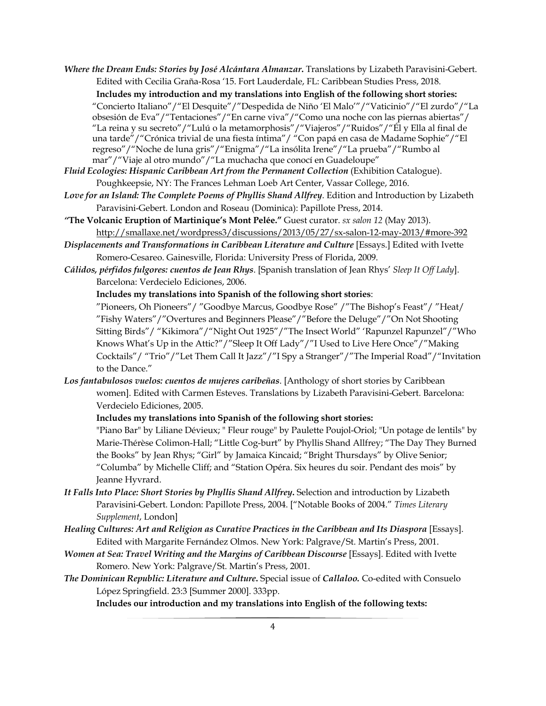- *Where the Dream Ends: Stories by José Alcántara Almanzar***.** Translations by Lizabeth Paravisini-Gebert. Edited with Cecilia Graña-Rosa '15. Fort Lauderdale, FL: Caribbean Studies Press, 2018. **Includes my introduction and my translations into English of the following short stories:** "Concierto Italiano"/"El Desquite"/"Despedida de Niño 'El Malo'"/"Vaticinio"/"El zurdo"/"La obsesión de Eva"/"Tentaciones"/"En carne viva"/"Como una noche con las piernas abiertas"/ "La reina y su secreto"/"Lulú o la metamorphosis"/"Viajeros"/"Ruidos"/"Él y Ella al final de una tarde"/"Crónica trivial de una fiesta íntima"/ "Con papá en casa de Madame Sophie"/"El regreso"/"Noche de luna gris"/"Enigma"/"La insólita Irene"/"La prueba"/"Rumbo al mar"/"Viaje al otro mundo"/"La muchacha que conocí en Guadeloupe"
- *Fluid Ecologies: Hispanic Caribbean Art from the Permanent Collection* (Exhibition Catalogue). Poughkeepsie, NY: The Frances Lehman Loeb Art Center, Vassar College, 2016.
- *Love for an Island: The Complete Poems of Phyllis Shand Allfrey*. Edition and Introduction by Lizabeth Paravisini-Gebert. London and Roseau (Dominica): Papillote Press, 2014.
- *"***The Volcanic Eruption of Martinique's Mont Pelée."** Guest curator. *sx salon 12* (May 2013). http://smallaxe.net/wordpress3/discussions/2013/05/27/sx-salon-12-may-2013/#more-392
- *Displacements and Transformations in Caribbean Literature and Culture* [Essays.] Edited with Ivette Romero-Cesareo. Gainesville, Florida: University Press of Florida, 2009.
- *Cálidos, pérfidos fulgores: cuentos de Jean Rhys*. [Spanish translation of Jean Rhys' *Sleep It Off Lady*]. Barcelona: Verdecielo Ediciones, 2006.

**Includes my translations into Spanish of the following short stories**:

"Pioneers, Oh Pioneers"/ "Goodbye Marcus, Goodbye Rose" /"The Bishop's Feast"/ "Heat/ "Fishy Waters"/"Overtures and Beginners Please"/"Before the Deluge"/"On Not Shooting Sitting Birds"/ "Kikimora"/"Night Out 1925"/"The Insect World" 'Rapunzel Rapunzel"/"Who Knows What's Up in the Attic?"/"Sleep It Off Lady"/"I Used to Live Here Once"/"Making Cocktails"/ "Trio"/"Let Them Call It Jazz"/"I Spy a Stranger"/"The Imperial Road"/"Invitation to the Dance."

*Los fantabulosos vuelos: cuentos de mujeres caribeñas*. [Anthology of short stories by Caribbean women]. Edited with Carmen Esteves. Translations by Lizabeth Paravisini-Gebert. Barcelona: Verdecielo Ediciones, 2005.

## **Includes my translations into Spanish of the following short stories:**

"Piano Bar" by Liliane Dévieux; " Fleur rouge" by Paulette Poujol-Oriol; "Un potage de lentils" by Marie-Thérèse Colimon-Hall; "Little Cog-burt" by Phyllis Shand Allfrey; "The Day They Burned the Books" by Jean Rhys; "Girl" by Jamaica Kincaid; "Bright Thursdays" by Olive Senior; "Columba" by Michelle Cliff; and "Station Opéra. Six heures du soir. Pendant des mois" by Jeanne Hyvrard.

- *It Falls Into Place: Short Stories by Phyllis Shand Allfrey***.** Selection and introduction by Lizabeth Paravisini-Gebert. London: Papillote Press, 2004. ["Notable Books of 2004." *Times Literary Supplement*, London]
- *Healing Cultures: Art and Religion as Curative Practices in the Caribbean and Its Diaspora* [Essays]. Edited with Margarite Fernández Olmos. New York: Palgrave/St. Martin's Press, 2001.
- *Women at Sea: Travel Writing and the Margins of Caribbean Discourse* [Essays]. Edited with Ivette Romero. New York: Palgrave/St. Martin's Press, 2001.
- *The Dominican Republic: Literature and Culture***.** Special issue of *Callaloo.* Co-edited with Consuelo López Springfield. 23:3 [Summer 2000]. 333pp.

**Includes our introduction and my translations into English of the following texts:**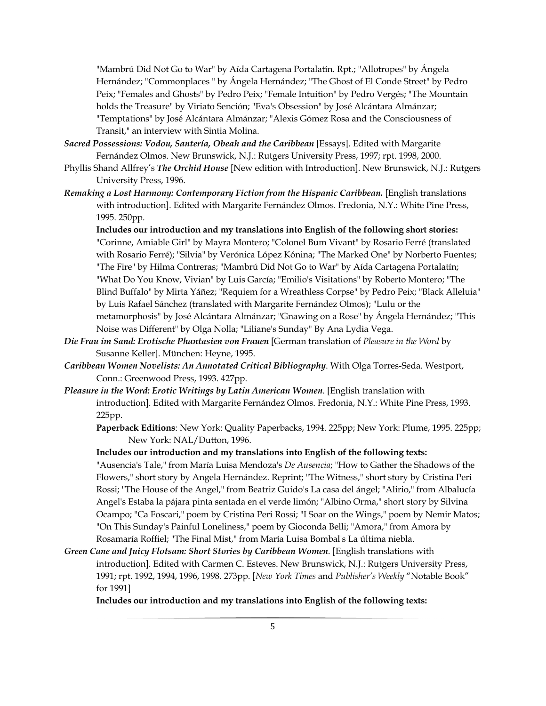"Mambrú Did Not Go to War" by Aída Cartagena Portalatín. Rpt.; "Allotropes" by Ángela Hernández; "Commonplaces " by Ángela Hernández; "The Ghost of El Conde Street" by Pedro Peix; "Females and Ghosts" by Pedro Peix; "Female Intuition" by Pedro Vergés; "The Mountain holds the Treasure" by Viriato Sención; "Eva's Obsession" by José Alcántara Almánzar; "Temptations" by José Alcántara Almánzar; "Alexis Gómez Rosa and the Consciousness of Transit," an interview with Sintia Molina.

- *Sacred Possessions: Vodou, Santería, Obeah and the Caribbean* [Essays]. Edited with Margarite Fernández Olmos. New Brunswick, N.J.: Rutgers University Press, 1997; rpt. 1998, 2000.
- Phyllis Shand Allfrey's *The Orchid House* [New edition with Introduction]. New Brunswick, N.J.: Rutgers University Press, 1996.
- *Remaking a Lost Harmony: Contemporary Fiction from the Hispanic Caribbean.* [English translations with introduction]. Edited with Margarite Fernández Olmos. Fredonia, N.Y.: White Pine Press, 1995. 250pp.

**Includes our introduction and my translations into English of the following short stories:** "Corinne, Amiable Girl" by Mayra Montero; "Colonel Bum Vivant" by Rosario Ferré (translated with Rosario Ferré); "Silvia" by Verónica López Kónina; "The Marked One" by Norberto Fuentes; "The Fire" by Hilma Contreras; "Mambrú Did Not Go to War" by Aída Cartagena Portalatín; "What Do You Know, Vivian" by Luis García; "Emilio's Visitations" by Roberto Montero; "The Blind Buffalo" by Mirta Yáñez; "Requiem for a Wreathless Corpse" by Pedro Peix; "Black Alleluia" by Luis Rafael Sánchez (translated with Margarite Fernández Olmos); "Lulu or the metamorphosis" by José Alcántara Almánzar; "Gnawing on a Rose" by Ángela Hernández; "This Noise was Different" by Olga Nolla; "Liliane's Sunday" By Ana Lydia Vega.

- *Die Frau im Sand: Erotische Phantasien von Frauen* [German translation of *Pleasure in the Word* by Susanne Keller]. München: Heyne, 1995.
- *Caribbean Women Novelists: An Annotated Critical Bibliography*. With Olga Torres-Seda. Westport, Conn.: Greenwood Press, 1993. 427pp.
- *Pleasure in the Word: Erotic Writings by Latin American Women*. [English translation with introduction]. Edited with Margarite Fernández Olmos. Fredonia, N.Y.: White Pine Press, 1993. 225pp.

**Paperback Editions**: New York: Quality Paperbacks, 1994. 225pp; New York: Plume, 1995. 225pp; New York: NAL/Dutton, 1996.

**Includes our introduction and my translations into English of the following texts:**

"Ausencia's Tale," from María Luisa Mendoza's *De Ausencia*; "How to Gather the Shadows of the Flowers," short story by Angela Hernández. Reprint; "The Witness," short story by Cristina Peri Rossi; "The House of the Angel," from Beatriz Guido's La casa del ángel; "Alirio," from Albalucía Angel's Estaba la pájara pinta sentada en el verde limón; "Albino Orma," short story by Silvina Ocampo; "Ca Foscari," poem by Cristina Peri Rossi; "I Soar on the Wings," poem by Nemir Matos; "On This Sunday's Painful Loneliness," poem by Gioconda Belli; "Amora," from Amora by Rosamaría Roffiel; "The Final Mist," from María Luisa Bombal's La última niebla.

*Green Cane and Juicy Flotsam: Short Stories by Caribbean Women*. [English translations with introduction]. Edited with Carmen C. Esteves. New Brunswick, N.J.: Rutgers University Press, 1991; rpt. 1992, 1994, 1996, 1998. 273pp. [*New York Times* and *Publisher's Weekly* "Notable Book" for 1991]

**Includes our introduction and my translations into English of the following texts:**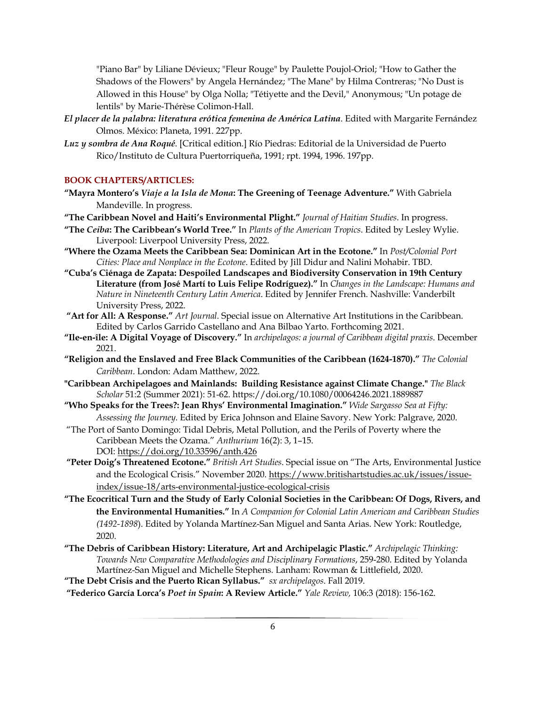"Piano Bar" by Liliane Dévieux; "Fleur Rouge" by Paulette Poujol-Oriol; "How to Gather the Shadows of the Flowers" by Angela Hernández; "The Mane" by Hilma Contreras; "No Dust is Allowed in this House" by Olga Nolla; "Tétiyette and the Devil," Anonymous; "Un potage de lentils" by Marie-Thérèse Colimon-Hall.

- *El placer de la palabra: literatura erótica femenina de América Latina*. Edited with Margarite Fernández Olmos. México: Planeta, 1991. 227pp.
- *Luz y sombra de Ana Roqué*. [Critical edition.] Río Piedras: Editorial de la Universidad de Puerto Rico/Instituto de Cultura Puertorriqueña, 1991; rpt. 1994, 1996. 197pp.

### **BOOK CHAPTERS/ARTICLES:**

- **"Mayra Montero's** *Viaje a la Isla de Mona***: The Greening of Teenage Adventure."** With Gabriela Mandeville. In progress.
- **"The Caribbean Novel and Haiti's Environmental Plight."** *Journal of Haitian Studies*. In progress.
- **"The** *Ceiba***: The Caribbean's World Tree."** In *Plants of the American Tropics*. Edited by Lesley Wylie. Liverpool: Liverpool University Press, 2022.
- **"Where the Ozama Meets the Caribbean Sea: Dominican Art in the Ecotone."** In *Post/Colonial Port Cities: Place and Nonplace in the Ecotone*. Edited by Jill Didur and Nalini Mohabir. TBD.
- **"Cuba's Ciénaga de Zapata: Despoiled Landscapes and Biodiversity Conservation in 19th Century Literature (from José Martí to Luis Felipe Rodríguez)."** In *Changes in the Landscape: Humans and Nature in Nineteenth Century Latin America*. Edited by Jennifer French. Nashville: Vanderbilt University Press, 2022.
- **"Art for All: A Response."** *Art Journal*. Special issue on Alternative Art Institutions in the Caribbean. Edited by Carlos Garrido Castellano and Ana Bilbao Yarto. Forthcoming 2021.
- **"Ile-en-île: A Digital Voyage of Discovery."** In *archipelagos: a journal of Caribbean digital praxis*. December 2021.
- **"Religion and the Enslaved and Free Black Communities of the Caribbean (1624-1870)."** *The Colonial Caribbean*. London: Adam Matthew, 2022.
- **"Caribbean Archipelagoes and Mainlands: Building Resistance against Climate Change."** *The Black Scholar* 51:2 (Summer 2021): 51-62. https://doi.org/10.1080/00064246.2021.1889887
- **"Who Speaks for the Trees?: Jean Rhys' Environmental Imagination."** *Wide Sargasso Sea at Fifty: Assessing the Journey*. Edited by Erica Johnson and Elaine Savory. New York: Palgrave, 2020.
- "The Port of Santo Domingo: Tidal Debris, Metal Pollution, and the Perils of Poverty where the Caribbean Meets the Ozama." *Anthurium* 16(2): 3, 1–15. DOI: https://doi.org/10.33596/anth.426
- **"Peter Doig's Threatened Ecotone."** *British Art Studies*. Special issue on "The Arts, Environmental Justice and the Ecological Crisis." November 2020. https://www.britishartstudies.ac.uk/issues/issueindex/issue-18/arts-environmental-justice-ecological-crisis
- **"The Ecocritical Turn and the Study of Early Colonial Societies in the Caribbean: Of Dogs, Rivers, and the Environmental Humanities."** In *A Companion for Colonial Latin American and Caribbean Studies (1492-1898*). Edited by Yolanda Martínez-San Miguel and Santa Arias. New York: Routledge, 2020.
- **"The Debris of Caribbean History: Literature, Art and Archipelagic Plastic."** *Archipelagic Thinking: Towards New Comparative Methodologies and Disciplinary Formations*, 259-280. Edited by Yolanda Martínez-San Miguel and Michelle Stephens. Lanham: Rowman & Littlefield, 2020.

**"The Debt Crisis and the Puerto Rican Syllabus."** *sx archipelagos*. Fall 2019.

**"Federico García Lorca's** *Poet in Spain***: A Review Article."** *Yale Review,* 106:3 (2018): 156-162.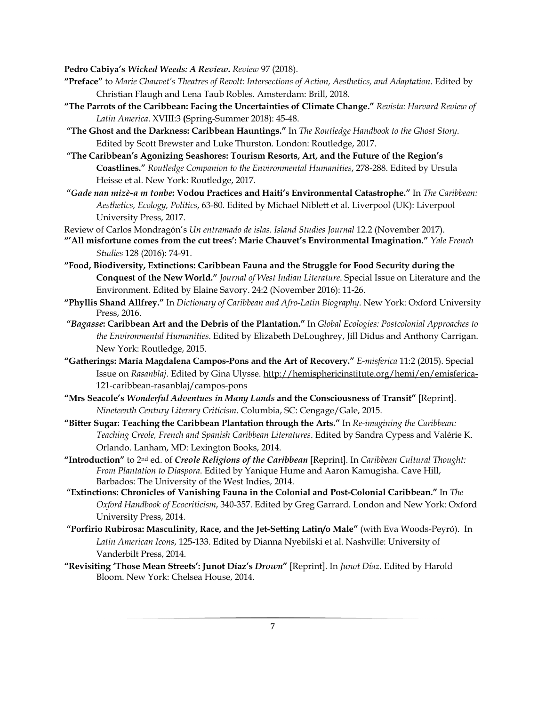**Pedro Cabiya's** *Wicked Weeds: A Review***.** *Review* 97 (2018).

- **"Preface"** to *Marie Chauvet's Theatres of Revolt: Intersections of Action, Aesthetics, and Adaptation*. Edited by Christian Flaugh and Lena Taub Robles. Amsterdam: Brill, 2018.
- **"The Parrots of the Caribbean: Facing the Uncertainties of Climate Change."** *Revista: Harvard Review of Latin America*. XVIII:3 **(**Spring-Summer 2018): 45-48.
- **"The Ghost and the Darkness: Caribbean Hauntings."** In *The Routledge Handbook to the Ghost Story*. Edited by Scott Brewster and Luke Thurston. London: Routledge, 2017.
- **"The Caribbean's Agonizing Seashores: Tourism Resorts, Art, and the Future of the Region's Coastlines."** *Routledge Companion to the Environmental Humanities*, 278-288. Edited by Ursula Heisse et al. New York: Routledge, 2017.
- **"***Gade nan mizè-a m tonbe***: Vodou Practices and Haiti's Environmental Catastrophe."** In *The Caribbean: Aesthetics, Ecology, Politics*, 63-80. Edited by Michael Niblett et al. Liverpool (UK): Liverpool University Press, 2017.
- Review of Carlos Mondragón's *Un entramado de islas*. *Island Studies Journal* 12.2 (November 2017).
- **"'All misfortune comes from the cut trees': Marie Chauvet's Environmental Imagination."** *Yale French Studies* 128 (2016): 74-91.
- **"Food, Biodiversity, Extinctions: Caribbean Fauna and the Struggle for Food Security during the Conquest of the New World."** *Journal of West Indian Literature*. Special Issue on Literature and the Environment. Edited by Elaine Savory. 24:2 (November 2016): 11-26.
- **"Phyllis Shand Allfrey."** In *Dictionary of Caribbean and Afro-Latin Biography*. New York: Oxford University Press, 2016.
- **"***Bagasse***: Caribbean Art and the Debris of the Plantation."** In *Global Ecologies: Postcolonial Approaches to the Environmental Humanities*. Edited by Elizabeth DeLoughrey, Jill Didus and Anthony Carrigan. New York: Routledge, 2015.
- **"Gatherings: María Magdalena Campos-Pons and the Art of Recovery."** *E-misferica* 11:2 (2015). Special Issue on *Rasanblaj*. Edited by Gina Ulysse. http://hemisphericinstitute.org/hemi/en/emisferica-121-caribbean-rasanblaj/campos-pons
- **"Mrs Seacole's** *Wonderful Adventues in Many Lands* **and the Consciousness of Transit"** [Reprint]. *Nineteenth Century Literary Criticism*. Columbia, SC: Cengage/Gale, 2015.
- **"Bitter Sugar: Teaching the Caribbean Plantation through the Arts."** In *Re-imagining the Caribbean: Teaching Creole, French and Spanish Caribbean Literatures*. Edited by Sandra Cypess and Valérie K. Orlando. Lanham, MD: Lexington Books, 2014.
- **"Introduction"** to 2nd ed. of *Creole Religions of the Caribbean* [Reprint]. In *Caribbean Cultural Thought: From Plantation to Diaspora*. Edited by Yanique Hume and Aaron Kamugisha. Cave Hill, Barbados: The University of the West Indies, 2014.
- **"Extinctions: Chronicles of Vanishing Fauna in the Colonial and Post-Colonial Caribbean."** In *The Oxford Handbook of Ecocriticism*, 340-357. Edited by Greg Garrard. London and New York: Oxford University Press, 2014.
- **"Porfirio Rubirosa: Masculinity, Race, and the Jet-Setting Latin/o Male"** (with Eva Woods-Peyró). In *Latin American Icons*, 125-133. Edited by Dianna Nyebilski et al. Nashville: University of Vanderbilt Press, 2014.
- **"Revisiting 'Those Mean Streets': Junot Díaz's** *Drown***"** [Reprint]. In *Junot Díaz*. Edited by Harold Bloom. New York: Chelsea House, 2014.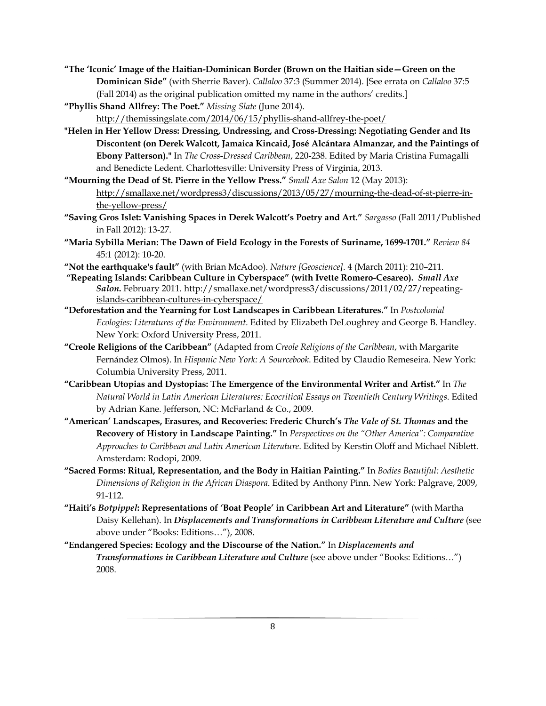- **"The 'Iconic' Image of the Haitian-Dominican Border (Brown on the Haitian side—Green on the Dominican Side"** (with Sherrie Baver). *Callaloo* 37:3 (Summer 2014). [See errata on *Callaloo* 37:5 (Fall 2014) as the original publication omitted my name in the authors' credits.]
- **"Phyllis Shand Allfrey: The Poet."** *Missing Slate* (June 2014). http://themissingslate.com/2014/06/15/phyllis-shand-allfrey-the-poet/
- **"Helen in Her Yellow Dress: Dressing, Undressing, and Cross-Dressing: Negotiating Gender and Its Discontent (on Derek Walcott, Jamaica Kincaid, José Alcántara Almanzar, and the Paintings of Ebony Patterson)."** In *The Cross-Dressed Caribbean*, 220-238. Edited by Maria Cristina Fumagalli and Benedicte Ledent. Charlottesville: University Press of Virginia, 2013.
- **"Mourning the Dead of St. Pierre in the Yellow Press."** *Small Axe Salon* 12 (May 2013): http://smallaxe.net/wordpress3/discussions/2013/05/27/mourning-the-dead-of-st-pierre-inthe-yellow-press/
- **"Saving Gros Islet: Vanishing Spaces in Derek Walcott's Poetry and Art."** *Sargasso* (Fall 2011/Published in Fall 2012): 13-27.
- **"Maria Sybilla Merian: The Dawn of Field Ecology in the Forests of Suriname, 1699-1701."** *Review 84* 45:1 (2012): 10-20.
- **"Not the earthquake's fault"** (with Brian McAdoo). *Nature [Geoscience]*. 4 (March 2011): 210–211.
- **"Repeating Islands: Caribbean Culture in Cyberspace" (with Ivette Romero-Cesareo).** *Small Axe Salon***.** February 2011. http://smallaxe.net/wordpress3/discussions/2011/02/27/repeatingislands-caribbean-cultures-in-cyberspace/
- **"Deforestation and the Yearning for Lost Landscapes in Caribbean Literatures."** In *Postcolonial Ecologies: Literatures of the Environment*. Edited by Elizabeth DeLoughrey and George B. Handley. New York: Oxford University Press, 2011.
- **"Creole Religions of the Caribbean"** (Adapted from *Creole Religions of the Caribbean*, with Margarite Fernández Olmos). In *Hispanic New York: A Sourcebook*. Edited by Claudio Remeseira. New York: Columbia University Press, 2011.
- **"Caribbean Utopias and Dystopias: The Emergence of the Environmental Writer and Artist."** In *The Natural World in Latin American Literatures: Ecocritical Essays on Twentieth Century Writings*. Edited by Adrian Kane. Jefferson, NC: McFarland & Co., 2009.
- **"American' Landscapes, Erasures, and Recoveries: Frederic Church's** *The Vale of St. Thomas* **and the Recovery of History in Landscape Painting."** In *Perspectives on the "Other America": Comparative Approaches to Caribbean and Latin American Literature*. Edited by Kerstin Oloff and Michael Niblett. Amsterdam: Rodopi, 2009.
- **"Sacred Forms: Ritual, Representation, and the Body in Haitian Painting."** In *Bodies Beautiful: Aesthetic Dimensions of Religion in the African Diaspora*. Edited by Anthony Pinn. New York: Palgrave, 2009, 91-112.
- **"Haiti's** *Botpippel***: Representations of 'Boat People' in Caribbean Art and Literature"** (with Martha Daisy Kellehan). In *Displacements and Transformations in Caribbean Literature and Culture* (see above under "Books: Editions…"), 2008.
- **"Endangered Species: Ecology and the Discourse of the Nation."** In *Displacements and Transformations in Caribbean Literature and Culture* (see above under "Books: Editions…") 2008.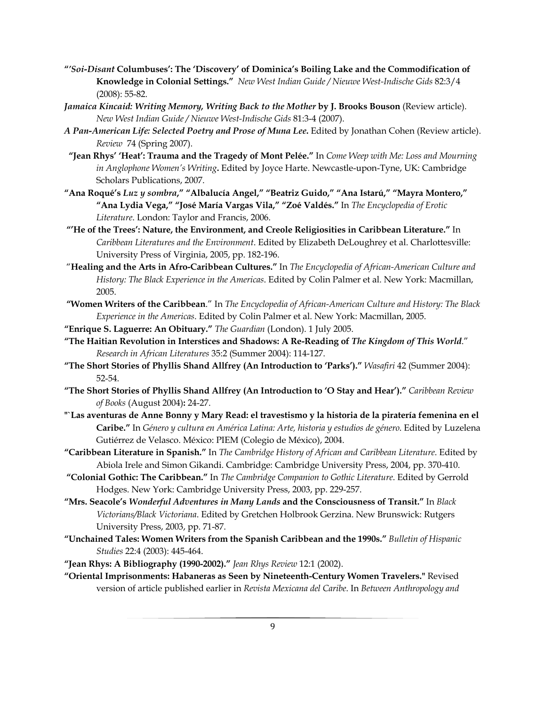- **"***'Soi-Disant* **Columbuses': The 'Discovery' of Dominica's Boiling Lake and the Commodification of Knowledge in Colonial Settings."** *New West Indian Guide / Nieuwe West-Indische Gids* 82:3/4 (2008): 55-82.
- *Jamaica Kincaid: Writing Memory, Writing Back to the Mother* **by J. Brooks Bouson** (Review article). *New West Indian Guide / Nieuwe West-Indische Gids* 81:3-4 (2007).
- *A Pan-American Life: Selected Poetry and Prose of Muna Lee***.** Edited by Jonathan Cohen (Review article). *Review* 74 (Spring 2007).
- **"Jean Rhys' 'Heat': Trauma and the Tragedy of Mont Pelée."** In *Come Weep with Me: Loss and Mourning in Anglophone Women's Writing***.** Edited by Joyce Harte. Newcastle-upon-Tyne, UK: Cambridge Scholars Publications, 2007.
- **"Ana Roqué's** *Luz y sombra***," "Albalucía Angel," "Beatriz Guido," "Ana Istarú," "Mayra Montero," "Ana Lydia Vega," "José María Vargas Vila," "Zoé Valdés."** In *The Encyclopedia of Erotic Literature*. London: Taylor and Francis, 2006.
- **"'He of the Trees': Nature, the Environment, and Creole Religiosities in Caribbean Literature."** In *Caribbean Literatures and the Environment*. Edited by Elizabeth DeLoughrey et al. Charlottesville: University Press of Virginia, 2005, pp. 182-196.
- "**Healing and the Arts in Afro-Caribbean Cultures."** In *The Encyclopedia of African-American Culture and History: The Black Experience in the Americas*. Edited by Colin Palmer et al. New York: Macmillan, 2005.
- **"Women Writers of the Caribbean**." In *The Encyclopedia of African-American Culture and History: The Black Experience in the Americas*. Edited by Colin Palmer et al. New York: Macmillan, 2005.

**"Enrique S. Laguerre: An Obituary."** *The Guardian* (London). 1 July 2005.

- **"The Haitian Revolution in Interstices and Shadows: A Re-Reading of** *The Kingdom of This World*." *Research in African Literatures* 35:2 (Summer 2004): 114-127.
- **"The Short Stories of Phyllis Shand Allfrey (An Introduction to 'Parks')."** *Wasafiri* 42 (Summer 2004): 52-54.
- **"The Short Stories of Phyllis Shand Allfrey (An Introduction to 'O Stay and Hear')."** *Caribbean Review of Books* (August 2004)**:** 24-27.
- **"`Las aventuras de Anne Bonny y Mary Read: el travestismo y la historia de la piratería femenina en el Caribe."** In *Género y cultura en América Latina: Arte, historia y estudios de género*. Edited by Luzelena Gutiérrez de Velasco. México: PIEM (Colegio de México), 2004.
- **"Caribbean Literature in Spanish."** In *The Cambridge History of African and Caribbean Literature*. Edited by Abiola Irele and Simon Gikandi. Cambridge: Cambridge University Press, 2004, pp. 370-410.
- **"Colonial Gothic: The Caribbean."** In *The Cambridge Companion to Gothic Literature*. Edited by Gerrold Hodges. New York: Cambridge University Press, 2003, pp. 229-257.
- **"Mrs. Seacole's** *Wonderful Adventures in Many Lands* **and the Consciousness of Transit."** In *Black Victorians/Black Victoriana*. Edited by Gretchen Holbrook Gerzina. New Brunswick: Rutgers University Press, 2003, pp. 71-87.
- **"Unchained Tales: Women Writers from the Spanish Caribbean and the 1990s."** *Bulletin of Hispanic Studies* 22:4 (2003): 445-464.
- **"Jean Rhys: A Bibliography (1990-2002)."** *Jean Rhys Review* 12:1 (2002).
- **"Oriental Imprisonments: Habaneras as Seen by Nineteenth-Century Women Travelers."** Revised version of article published earlier in *Revista Mexicana del Caribe*. In *Between Anthropology and*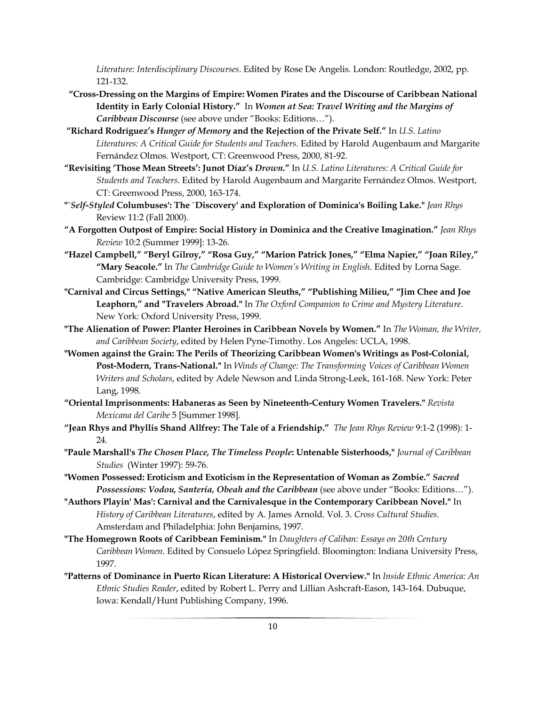*Literature: Interdisciplinary Discourses*. Edited by Rose De Angelis. London: Routledge, 2002, pp. 121-132.

- **"Cross-Dressing on the Margins of Empire: Women Pirates and the Discourse of Caribbean National Identity in Early Colonial History."** In *Women at Sea: Travel Writing and the Margins of Caribbean Discourse* (see above under "Books: Editions…").
- **"Richard Rodríguez's** *Hunger of Memory* **and the Rejection of the Private Self."** In *U.S. Latino Literatures: A Critical Guide for Students and Teachers*. Edited by Harold Augenbaum and Margarite Fernández Olmos. Westport, CT: Greenwood Press, 2000, 81-92.
- **"Revisiting 'Those Mean Streets': Junot Díaz's** *Drown***."** In *U.S. Latino Literatures: A Critical Guide for Students and Teachers*. Edited by Harold Augenbaum and Margarite Fernández Olmos. Westport, CT: Greenwood Press, 2000, 163-174.
- **"`***Self-Styled* **Columbuses': The `Discovery' and Exploration of Dominica's Boiling Lake."** *Jean Rhys*  Review 11:2 (Fall 2000).
- **"A Forgotten Outpost of Empire: Social History in Dominica and the Creative Imagination."** *Jean Rhys Review* 10:2 (Summer 1999]: 13-26.
- **"Hazel Campbell," "Beryl Gilroy," "Rosa Guy," "Marion Patrick Jones," "Elma Napier," "Joan Riley," "Mary Seacole."** In *The Cambridge Guide to Women's Writing in English*. Edited by Lorna Sage. Cambridge: Cambridge University Press, 1999.
- **"Carnival and Circus Settings," "Native American Sleuths," "Publishing Milieu," "Jim Chee and Joe Leaphorn," and "Travelers Abroad."** In *The Oxford Companion to Crime and Mystery Literature*. New York: Oxford University Press, 1999.
- **"The Alienation of Power: Planter Heroines in Caribbean Novels by Women."** In *The Woman, the Writer, and Caribbean Society*, edited by Helen Pyne-Timothy. Los Angeles: UCLA, 1998.
- **"Women against the Grain: The Perils of Theorizing Caribbean Women's Writings as Post-Colonial, Post-Modern, Trans-National."** In *Winds of Change: The Transforming Voices of Caribbean Women Writers and Scholars*, edited by Adele Newson and Linda Strong-Leek, 161-168. New York: Peter Lang, 1998.
- **"Oriental Imprisonments: Habaneras as Seen by Nineteenth-Century Women Travelers."** *Revista Mexicana del Caribe* 5 [Summer 1998].
- **"Jean Rhys and Phyllis Shand Allfrey: The Tale of a Friendship."** *The Jean Rhys Review* 9:1-2 (1998): 1- 24.
- **"Paule Marshall's** *The Chosen Place, The Timeless People***: Untenable Sisterhoods,"** *Journal of Caribbean Studies* (Winter 1997): 59-76.
- **"Women Possessed: Eroticism and Exoticism in the Representation of Woman as Zombie."** *Sacred Possessions: Vodou, Santería, Obeah and the Caribbean* (see above under "Books: Editions…").
- **"Authors Playin' Mas': Carnival and the Carnivalesque in the Contemporary Caribbean Novel."** In *History of Caribbean Literatures*, edited by A. James Arnold. Vol. 3. *Cross Cultural Studies*. Amsterdam and Philadelphia: John Benjamins, 1997.
- **"The Homegrown Roots of Caribbean Feminism."** In *Daughters of Caliban: Essays on 20th Century Caribbean Women*. Edited by Consuelo López Springfield. Bloomington: Indiana University Press, 1997.
- **"Patterns of Dominance in Puerto Rican Literature: A Historical Overview."** In *Inside Ethnic America: An Ethnic Studies Reader*, edited by Robert L. Perry and Lillian Ashcraft-Eason, 143-164. Dubuque, Iowa: Kendall/Hunt Publishing Company, 1996.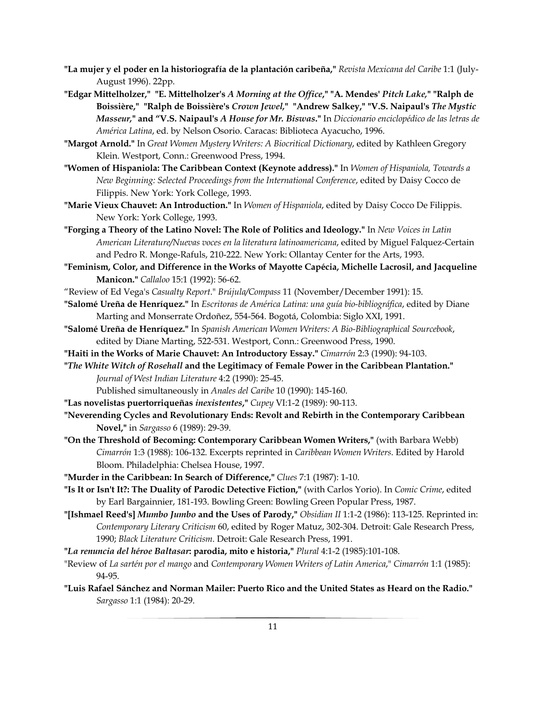- **"La mujer y el poder en la historiografía de la plantación caribeña,"** *Revista Mexicana del Caribe* 1:1 (July-August 1996). 22pp.
- **"Edgar Mittelholzer," "E. Mittelholzer's** *A Morning at the Office***," "A. Mendes'** *Pitch Lake,***" "Ralph de Boissière," "Ralph de Boissière's** *Crown Jewel,***" "Andrew Salkey," "V.S. Naipaul's** *The Mystic Masseur,***" and "V.S. Naipaul's** *A House for Mr. Biswas***."** In *Diccionario enciclopédico de las letras de América Latina*, ed. by Nelson Osorio. Caracas: Biblioteca Ayacucho, 1996.
- **"Margot Arnold."** In *Great Women Mystery Writers: A Biocritical Dictionary*, edited by Kathleen Gregory Klein. Westport, Conn.: Greenwood Press, 1994.
- **"Women of Hispaniola: The Caribbean Context (Keynote address)."** In *Women of Hispaniola, Towards a New Beginning: Selected Proceedings from the International Conference*, edited by Daisy Cocco de Filippis. New York: York College, 1993.
- **"Marie Vieux Chauvet: An Introduction."** In *Women of Hispaniola*, edited by Daisy Cocco De Filippis. New York: York College, 1993.
- **"Forging a Theory of the Latino Novel: The Role of Politics and Ideology."** In *New Voices in Latin American Literature/Nuevas voces en la literatura latinoamericana*, edited by Miguel Falquez-Certain and Pedro R. Monge-Rafuls, 210-222. New York: Ollantay Center for the Arts, 1993.
- **"Feminism, Color, and Difference in the Works of Mayotte Capécia, Michelle Lacrosil, and Jacqueline Manicon."** *Callaloo* 15:1 (1992): 56-62.
- "Review of Ed Vega's *Casualty Report*." *Brújula/Compass* 11 (November/December 1991): 15.
- **"Salomé Ureña de Henríquez."** In *Escritoras de América Latina: una guía bio-bibliográfica*, edited by Diane Marting and Monserrate Ordoñez, 554-564. Bogotá, Colombia: Siglo XXI, 1991.
- **"Salomé Ureña de Henríquez."** In *Spanish American Women Writers: A Bio-Bibliographical Sourcebook*, edited by Diane Marting, 522-531. Westport, Conn.: Greenwood Press, 1990.
- **"Haiti in the Works of Marie Chauvet: An Introductory Essay."** *Cimarrón* 2:3 (1990): 94-103.
- **"***The White Witch of Rosehall* **and the Legitimacy of Female Power in the Caribbean Plantation."** *Journal of West Indian Literature* 4:2 (1990): 25-45.

Published simultaneously in *Anales del Caribe* 10 (1990): 145-160.

- **"Las novelistas puertorriqueñas** *inexistentes***,"** *Cupey* VI:1-2 (1989): 90-113.
- **"Neverending Cycles and Revolutionary Ends: Revolt and Rebirth in the Contemporary Caribbean Novel,"** in *Sargasso* 6 (1989): 29-39.
- **"On the Threshold of Becoming: Contemporary Caribbean Women Writers,"** (with Barbara Webb) *Cimarrón* 1:3 (1988): 106-132. Excerpts reprinted in *Caribbean Women Writers*. Edited by Harold Bloom. Philadelphia: Chelsea House, 1997.
- **"Murder in the Caribbean: In Search of Difference,"** *Clues* 7:1 (1987): 1-10.
- **"Is It or Isn't It?: The Duality of Parodic Detective Fiction,"** (with Carlos Yorio). In *Comic Crime*, edited by Earl Bargainnier, 181-193. Bowling Green: Bowling Green Popular Press, 1987.
- **"[Ishmael Reed's]** *Mumbo Jumbo* **and the Uses of Parody,"** *Obsidian II* 1:1-2 (1986): 113-125. Reprinted in: *Contemporary Literary Criticism* 60, edited by Roger Matuz, 302-304. Detroit: Gale Research Press, 1990; *Black Literature Criticism*. Detroit: Gale Research Press, 1991.
- **"***La renuncia del héroe Baltasar***: parodia, mito e historia,"** *Plural* 4:1-2 (1985):101-108.
- "Review of *La sartén por el mango* and *Contemporary Women Writers of Latin America*," *Cimarrón* 1:1 (1985): 94-95.
- **"Luis Rafael Sánchez and Norman Mailer: Puerto Rico and the United States as Heard on the Radio."** *Sargasso* 1:1 (1984): 20-29.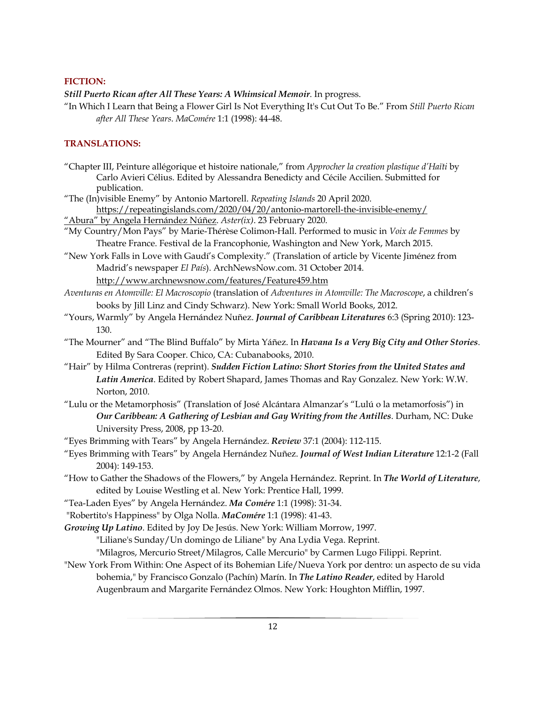#### **FICTION:**

*Still Puerto Rican after All These Years: A Whimsical Memoir*. In progress.

"In Which I Learn that Being a Flower Girl Is Not Everything It's Cut Out To Be." From *Still Puerto Rican after All These Years*. *MaComére* 1:1 (1998): 44-48.

## **TRANSLATIONS:**

"Chapter III, Peinture allégorique et histoire nationale," from *Approcher la creation plastique d'Haïti* by Carlo Avieri Célius. Edited by Alessandra Benedicty and Cécile Accilien. Submitted for publication.

"The (In)visible Enemy" by Antonio Martorell. *Repeating Islands* 20 April 2020.

https://repeatingislands.com/2020/04/20/antonio-martorell-the-invisible-enemy/

"Abura" by Angela Hernández Núñez. *Aster(ix)*. 23 February 2020.

"My Country/Mon Pays" by Marie-Thérèse Colimon-Hall. Performed to music in *Voix de Femmes* by Theatre France. Festival de la Francophonie, Washington and New York, March 2015.

"New York Falls in Love with Gaudí's Complexity." (Translation of article by Vicente Jiménez from Madrid's newspaper *El País*). ArchNewsNow.com. 31 October 2014. http://www.archnewsnow.com/features/Feature459.htm

- *Aventuras en Atomville: El Macroscopio* (translation of *Adventures in Atomville: The Macroscope*, a children's books by Jill Linz and Cindy Schwarz). New York: Small World Books, 2012.
- "Yours, Warmly" by Angela Hernández Nuñez. *Journal of Caribbean Literatures* 6:3 (Spring 2010): 123- 130.
- "The Mourner" and "The Blind Buffalo" by Mirta Yáñez. In *Havana Is a Very Big City and Other Stories*. Edited By Sara Cooper. Chico, CA: Cubanabooks, 2010.
- "Hair" by Hilma Contreras (reprint). *Sudden Fiction Latino: Short Stories from the United States and Latin America*. Edited by Robert Shapard, James Thomas and Ray Gonzalez. New York: W.W. Norton, 2010.
- "Lulu or the Metamorphosis" (Translation of José Alcántara Almanzar's "Lulú o la metamorfosis") in *Our Caribbean: A Gathering of Lesbian and Gay Writing from the Antilles*. Durham, NC: Duke University Press, 2008, pp 13-20.
- "Eyes Brimming with Tears" by Angela Hernández. *Review* 37:1 (2004): 112-115.
- "Eyes Brimming with Tears" by Angela Hernández Nuñez. *Journal of West Indian Literature* 12:1-2 (Fall 2004): 149-153.
- "How to Gather the Shadows of the Flowers," by Angela Hernández. Reprint. In *The World of Literature*, edited by Louise Westling et al. New York: Prentice Hall, 1999.
- "Tea-Laden Eyes" by Angela Hernández. *Ma Comére* 1:1 (1998): 31-34.
- "Robertito's Happiness" by Olga Nolla. *MaComére* 1:1 (1998): 41-43.

*Growing Up Latino*. Edited by Joy De Jesús. New York: William Morrow, 1997.

"Liliane's Sunday/Un domingo de Liliane" by Ana Lydia Vega. Reprint.

"Milagros, Mercurio Street/Milagros, Calle Mercurio" by Carmen Lugo Filippi. Reprint.

"New York From Within: One Aspect of its Bohemian Life/Nueva York por dentro: un aspecto de su vida bohemia," by Francisco Gonzalo (Pachín) Marín. In *The Latino Reader*, edited by Harold Augenbraum and Margarite Fernández Olmos. New York: Houghton Mifflin, 1997.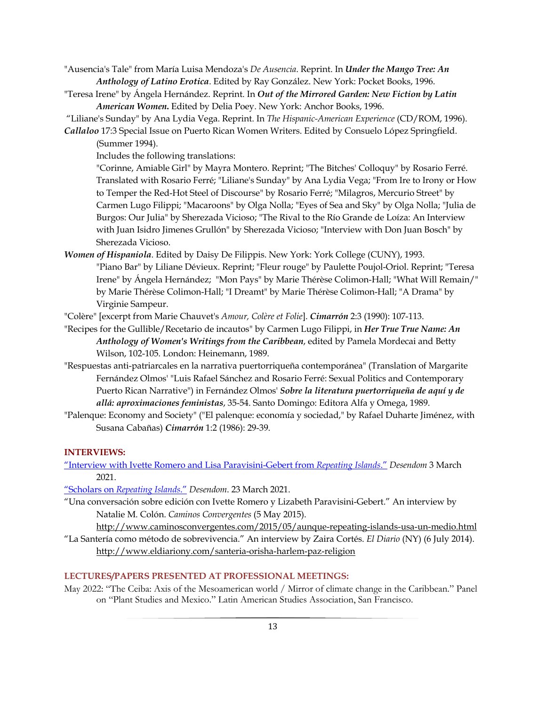- "Ausencia's Tale" from María Luisa Mendoza's *De Ausencia*. Reprint. In *Under the Mango Tree: An Anthology of Latino Erotica*. Edited by Ray González. New York: Pocket Books, 1996.
- "Teresa Irene" by Ángela Hernández. Reprint. In *Out of the Mirrored Garden: New Fiction by Latin American Women***.** Edited by Delia Poey. New York: Anchor Books, 1996.
- "Liliane's Sunday" by Ana Lydia Vega. Reprint. In *The Hispanic-American Experience* (CD/ROM, 1996).
- *Callaloo* 17:3 Special Issue on Puerto Rican Women Writers. Edited by Consuelo López Springfield. (Summer 1994).

Includes the following translations:

"Corinne, Amiable Girl" by Mayra Montero. Reprint; "The Bitches' Colloquy" by Rosario Ferré. Translated with Rosario Ferré; "Liliane's Sunday" by Ana Lydia Vega; "From Ire to Irony or How to Temper the Red-Hot Steel of Discourse" by Rosario Ferré; "Milagros, Mercurio Street" by Carmen Lugo Filippi; "Macaroons" by Olga Nolla; "Eyes of Sea and Sky" by Olga Nolla; "Julia de Burgos: Our Julia" by Sherezada Vicioso; "The Rival to the Río Grande de Loíza: An Interview with Juan Isidro Jimenes Grullón" by Sherezada Vicioso; "Interview with Don Juan Bosch" by Sherezada Vicioso.

*Women of Hispaniola*. Edited by Daisy De Filippis. New York: York College (CUNY), 1993. "Piano Bar" by Liliane Dévieux. Reprint; "Fleur rouge" by Paulette Poujol-Oriol. Reprint; "Teresa Irene" by Ángela Hernández; "Mon Pays" by Marie Thérèse Colimon-Hall; "What Will Remain/" by Marie Thérèse Colimon-Hall; "I Dreamt" by Marie Thérèse Colimon-Hall; "A Drama" by Virginie Sampeur.

"Colère" [excerpt from Marie Chauvet's *Amour, Colère et Folie*]. *Cimarrón* 2:3 (1990): 107-113.

- "Recipes for the Gullible/Recetario de incautos" by Carmen Lugo Filippi, in *Her True True Name: An Anthology of Women's Writings from the Caribbean*, edited by Pamela Mordecai and Betty Wilson, 102-105. London: Heinemann, 1989.
- "Respuestas anti-patriarcales en la narrativa puertorriqueña contemporánea" (Translation of Margarite Fernández Olmos' "Luis Rafael Sánchez and Rosario Ferré: Sexual Politics and Contemporary Puerto Rican Narrative") in Fernández Olmos' *Sobre la literatura puertorriqueña de aquí y de allá: aproximaciones feministas*, 35-54. Santo Domingo: Editora Alfa y Omega, 1989.
- "Palenque: Economy and Society" ("El palenque: economía y sociedad," by Rafael Duharte Jiménez, with Susana Cabañas) *Cimarrón* 1:2 (1986): 29-39.

# **INTERVIEWS:**

- "Interview with Ivette Romero and Lisa Paravisini-Gebert from *Repeating Islands*." *Desendom* 3 March 2021.
- "Scholars on *Repeating Islands*." *Desendom*. 23 March 2021.
- "Una conversación sobre edición con Ivette Romero y Lizabeth Paravisini-Gebert." An interview by Natalie M. Colón. *Caminos Convergentes* (5 May 2015).

http://www.caminosconvergentes.com/2015/05/aunque-repeating-islands-usa-un-medio.html "La Santería como método de sobrevivencia." An interview by Zaira Cortés. *El Diario* (NY) (6 July 2014).

http://www.eldiariony.com/santeria-orisha-harlem-paz-religion

## **LECTURES/PAPERS PRESENTED AT PROFESSIONAL MEETINGS:**

May 2022: "The Ceiba: Axis of the Mesoamerican world / Mirror of climate change in the Caribbean." Panel on "Plant Studies and Mexico." Latin American Studies Association, San Francisco.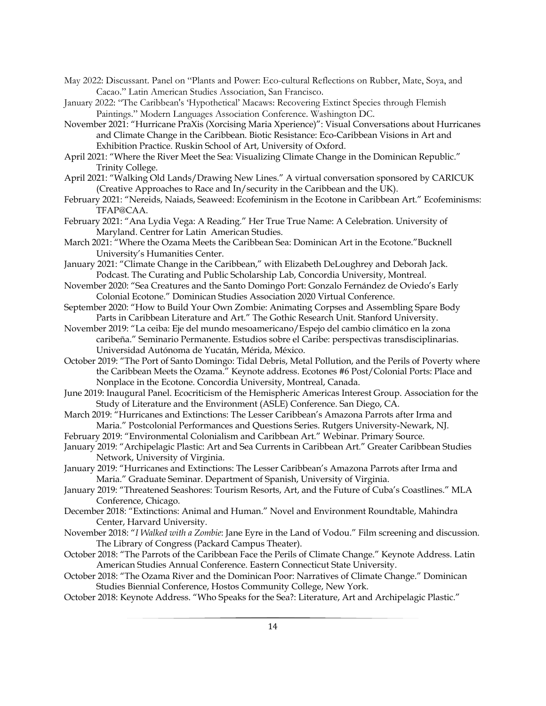- May 2022: Discussant. Panel on "Plants and Power: Eco-cultural Reflections on Rubber, Mate, Soya, and Cacao." Latin American Studies Association, San Francisco.
- January 2022: "The Caribbean's 'Hypothetical' Macaws: Recovering Extinct Species through Flemish Paintings." Modern Languages Association Conference. Washington DC.
- November 2021: "Hurricane PraXis (Xorcising Maria Xperience)": Visual Conversations about Hurricanes and Climate Change in the Caribbean. Biotic Resistance: Eco-Caribbean Visions in Art and Exhibition Practice. Ruskin School of Art, University of Oxford.
- April 2021: "Where the River Meet the Sea: Visualizing Climate Change in the Dominican Republic." Trinity College.
- April 2021: "Walking Old Lands/Drawing New Lines." A virtual conversation sponsored by CARICUK (Creative Approaches to Race and In/security in the Caribbean and the UK).
- February 2021: "Nereids, Naiads, Seaweed: Ecofeminism in the Ecotone in Caribbean Art." Ecofeminisms: TFAP@CAA.
- February 2021: "Ana Lydia Vega: A Reading." Her True True Name: A Celebration. University of Maryland. Centrer for Latin American Studies.
- March 2021: "Where the Ozama Meets the Caribbean Sea: Dominican Art in the Ecotone."Bucknell University's Humanities Center.
- January 2021: "Climate Change in the Caribbean," with Elizabeth DeLoughrey and Deborah Jack. Podcast. The Curating and Public Scholarship Lab, Concordia University, Montreal.
- November 2020: "Sea Creatures and the Santo Domingo Port: Gonzalo Fernández de Oviedo's Early Colonial Ecotone." Dominican Studies Association 2020 Virtual Conference.
- September 2020: "How to Build Your Own Zombie: Animating Corpses and Assembling Spare Body Parts in Caribbean Literature and Art." The Gothic Research Unit. Stanford University.
- November 2019: "La ceiba: Eje del mundo mesoamericano/Espejo del cambio climático en la zona caribeña." Seminario Permanente. Estudios sobre el Caribe: perspectivas transdisciplinarias. Universidad Autónoma de Yucatán, Mérida, México.
- October 2019: "The Port of Santo Domingo: Tidal Debris, Metal Pollution, and the Perils of Poverty where the Caribbean Meets the Ozama." Keynote address. Ecotones #6 Post/Colonial Ports: Place and Nonplace in the Ecotone. Concordia University, Montreal, Canada.
- June 2019: Inaugural Panel. Ecocriticism of the Hemispheric Americas Interest Group. Association for the Study of Literature and the Environment (ASLE) Conference. San Diego, CA.
- March 2019: "Hurricanes and Extinctions: The Lesser Caribbean's Amazona Parrots after Irma and Maria." Postcolonial Performances and Questions Series. Rutgers University-Newark, NJ.
- February 2019: "Environmental Colonialism and Caribbean Art." Webinar. Primary Source.
- January 2019: "Archipelagic Plastic: Art and Sea Currents in Caribbean Art." Greater Caribbean Studies Network, University of Virginia.
- January 2019: "Hurricanes and Extinctions: The Lesser Caribbean's Amazona Parrots after Irma and Maria." Graduate Seminar. Department of Spanish, University of Virginia.
- January 2019: "Threatened Seashores: Tourism Resorts, Art, and the Future of Cuba's Coastlines." MLA Conference, Chicago.
- December 2018: "Extinctions: Animal and Human." Novel and Environment Roundtable, Mahindra Center, Harvard University.
- November 2018: "*I Walked with a Zombie*: Jane Eyre in the Land of Vodou." Film screening and discussion. The Library of Congress (Packard Campus Theater).
- October 2018: "The Parrots of the Caribbean Face the Perils of Climate Change." Keynote Address. Latin American Studies Annual Conference. Eastern Connecticut State University.
- October 2018: "The Ozama River and the Dominican Poor: Narratives of Climate Change." Dominican Studies Biennial Conference, Hostos Community College, New York.
- October 2018: Keynote Address. "Who Speaks for the Sea?: Literature, Art and Archipelagic Plastic."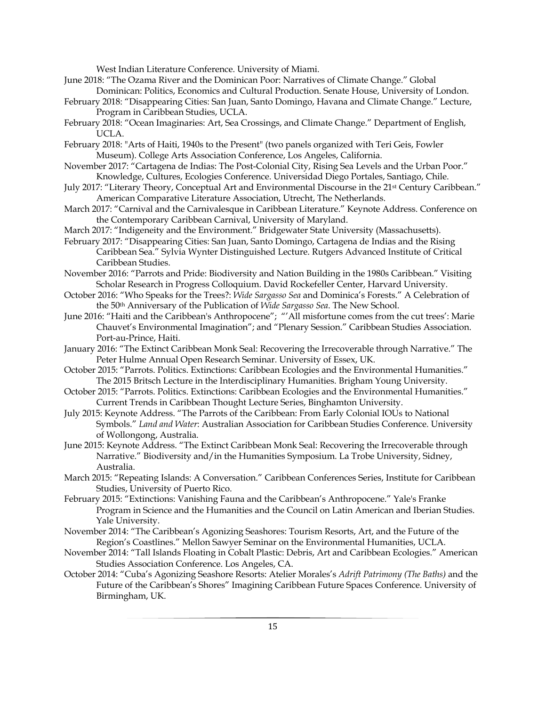West Indian Literature Conference. University of Miami.

- June 2018: "The Ozama River and the Dominican Poor: Narratives of Climate Change." Global Dominican: Politics, Economics and Cultural Production. Senate House, University of London.
- February 2018: "Disappearing Cities: San Juan, Santo Domingo, Havana and Climate Change." Lecture, Program in Caribbean Studies, UCLA.
- February 2018: "Ocean Imaginaries: Art, Sea Crossings, and Climate Change." Department of English, UCLA.
- February 2018: "Arts of Haiti, 1940s to the Present" (two panels organized with Teri Geis, Fowler Museum). College Arts Association Conference, Los Angeles, California.
- November 2017: "Cartagena de Indias: The Post-Colonial City, Rising Sea Levels and the Urban Poor." Knowledge, Cultures, Ecologies Conference. Universidad Diego Portales, Santiago, Chile.
- July 2017: "Literary Theory, Conceptual Art and Environmental Discourse in the 21st Century Caribbean." American Comparative Literature Association, Utrecht, The Netherlands.
- March 2017: "Carnival and the Carnivalesque in Caribbean Literature." Keynote Address. Conference on the Contemporary Caribbean Carnival, University of Maryland.
- March 2017: "Indigeneity and the Environment." Bridgewater State University (Massachusetts).
- February 2017: "Disappearing Cities: San Juan, Santo Domingo, Cartagena de Indias and the Rising Caribbean Sea." Sylvia Wynter Distinguished Lecture. Rutgers Advanced Institute of Critical Caribbean Studies.
- November 2016: "Parrots and Pride: Biodiversity and Nation Building in the 1980s Caribbean." Visiting Scholar Research in Progress Colloquium. David Rockefeller Center, Harvard University.
- October 2016: "Who Speaks for the Trees?: *Wide Sargasso Sea* and Dominica's Forests." A Celebration of the 50th Anniversary of the Publication of *Wide Sargasso Sea*. The New School.
- June 2016: "Haiti and the Caribbean's Anthropocene"; "'All misfortune comes from the cut trees': Marie Chauvet's Environmental Imagination"; and "Plenary Session." Caribbean Studies Association. Port-au-Prince, Haiti.
- January 2016: "The Extinct Caribbean Monk Seal: Recovering the Irrecoverable through Narrative." The Peter Hulme Annual Open Research Seminar. University of Essex, UK.
- October 2015: "Parrots. Politics. Extinctions: Caribbean Ecologies and the Environmental Humanities." The 2015 Britsch Lecture in the Interdisciplinary Humanities. Brigham Young University.
- October 2015: "Parrots. Politics. Extinctions: Caribbean Ecologies and the Environmental Humanities." Current Trends in Caribbean Thought Lecture Series, Binghamton University.
- July 2015: Keynote Address. "The Parrots of the Caribbean: From Early Colonial IOUs to National Symbols." *Land and Water*: Australian Association for Caribbean Studies Conference. University of Wollongong, Australia.
- June 2015: Keynote Address. "The Extinct Caribbean Monk Seal: Recovering the Irrecoverable through Narrative." Biodiversity and/in the Humanities Symposium. La Trobe University, Sidney, Australia.
- March 2015: "Repeating Islands: A Conversation." Caribbean Conferences Series, Institute for Caribbean Studies, University of Puerto Rico.
- February 2015: "Extinctions: Vanishing Fauna and the Caribbean's Anthropocene." Yale's Franke Program in Science and the Humanities and the Council on Latin American and Iberian Studies. Yale University.
- November 2014: "The Caribbean's Agonizing Seashores: Tourism Resorts, Art, and the Future of the Region's Coastlines." Mellon Sawyer Seminar on the Environmental Humanities, UCLA.
- November 2014: "Tall Islands Floating in Cobalt Plastic: Debris, Art and Caribbean Ecologies." American Studies Association Conference. Los Angeles, CA.
- October 2014: "Cuba's Agonizing Seashore Resorts: Atelier Morales's *Adrift Patrimony (The Baths)* and the Future of the Caribbean's Shores" Imagining Caribbean Future Spaces Conference. University of Birmingham, UK.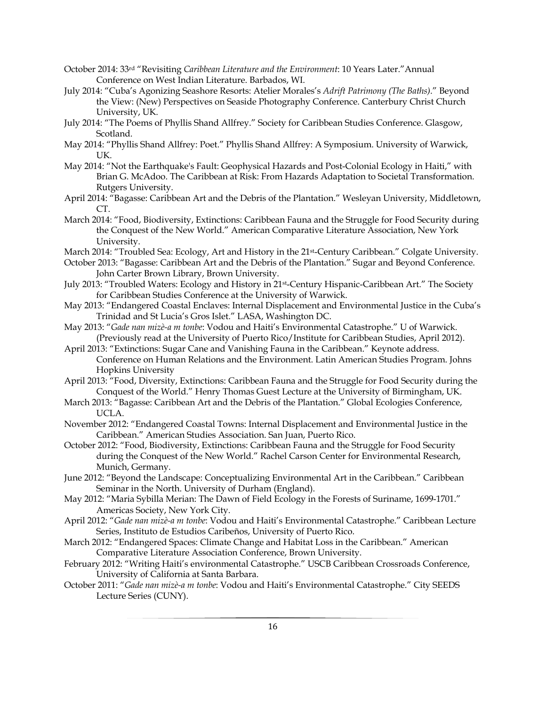- October 2014: 33rd "Revisiting *Caribbean Literature and the Environment*: 10 Years Later."Annual Conference on West Indian Literature. Barbados, WI.
- July 2014: "Cuba's Agonizing Seashore Resorts: Atelier Morales's *Adrift Patrimony (The Baths)*." Beyond the View: (New) Perspectives on Seaside Photography Conference. Canterbury Christ Church University, UK.
- July 2014: "The Poems of Phyllis Shand Allfrey." Society for Caribbean Studies Conference. Glasgow, Scotland.
- May 2014: "Phyllis Shand Allfrey: Poet." Phyllis Shand Allfrey: A Symposium. University of Warwick, UK.
- May 2014: "Not the Earthquake's Fault: Geophysical Hazards and Post-Colonial Ecology in Haiti," with Brian G. McAdoo. The Caribbean at Risk: From Hazards Adaptation to Societal Transformation. Rutgers University.
- April 2014: "Bagasse: Caribbean Art and the Debris of the Plantation." Wesleyan University, Middletown, CT.
- March 2014: "Food, Biodiversity, Extinctions: Caribbean Fauna and the Struggle for Food Security during the Conquest of the New World." American Comparative Literature Association, New York University.
- March 2014: "Troubled Sea: Ecology, Art and History in the 21st-Century Caribbean." Colgate University.
- October 2013: "Bagasse: Caribbean Art and the Debris of the Plantation." Sugar and Beyond Conference. John Carter Brown Library, Brown University.
- July 2013: "Troubled Waters: Ecology and History in 21st-Century Hispanic-Caribbean Art." The Society for Caribbean Studies Conference at the University of Warwick.
- May 2013: "Endangered Coastal Enclaves: Internal Displacement and Environmental Justice in the Cuba's Trinidad and St Lucia's Gros Islet." LASA, Washington DC.
- May 2013: "*Gade nan mizè-a m tonbe*: Vodou and Haiti's Environmental Catastrophe." U of Warwick. (Previously read at the University of Puerto Rico/Institute for Caribbean Studies, April 2012).
- April 2013: "Extinctions: Sugar Cane and Vanishing Fauna in the Caribbean." Keynote address. Conference on Human Relations and the Environment. Latin American Studies Program. Johns Hopkins University
- April 2013: "Food, Diversity, Extinctions: Caribbean Fauna and the Struggle for Food Security during the Conquest of the World." Henry Thomas Guest Lecture at the University of Birmingham, UK.
- March 2013: "Bagasse: Caribbean Art and the Debris of the Plantation." Global Ecologies Conference, UCLA.
- November 2012: "Endangered Coastal Towns: Internal Displacement and Environmental Justice in the Caribbean." American Studies Association. San Juan, Puerto Rico.
- October 2012: "Food, Biodiversity, Extinctions: Caribbean Fauna and the Struggle for Food Security during the Conquest of the New World." Rachel Carson Center for Environmental Research, Munich, Germany.
- June 2012: "Beyond the Landscape: Conceptualizing Environmental Art in the Caribbean." Caribbean Seminar in the North. University of Durham (England).
- May 2012: "Maria Sybilla Merian: The Dawn of Field Ecology in the Forests of Suriname, 1699-1701." Americas Society, New York City.
- April 2012: "*Gade nan mizè-a m tonbe*: Vodou and Haiti's Environmental Catastrophe." Caribbean Lecture Series, Instituto de Estudios Caribeños, University of Puerto Rico.
- March 2012: "Endangered Spaces: Climate Change and Habitat Loss in the Caribbean." American Comparative Literature Association Conference, Brown University.
- February 2012: "Writing Haiti's environmental Catastrophe." USCB Caribbean Crossroads Conference, University of California at Santa Barbara.
- October 2011: "*Gade nan mizè-a m tonbe*: Vodou and Haiti's Environmental Catastrophe." City SEEDS Lecture Series (CUNY).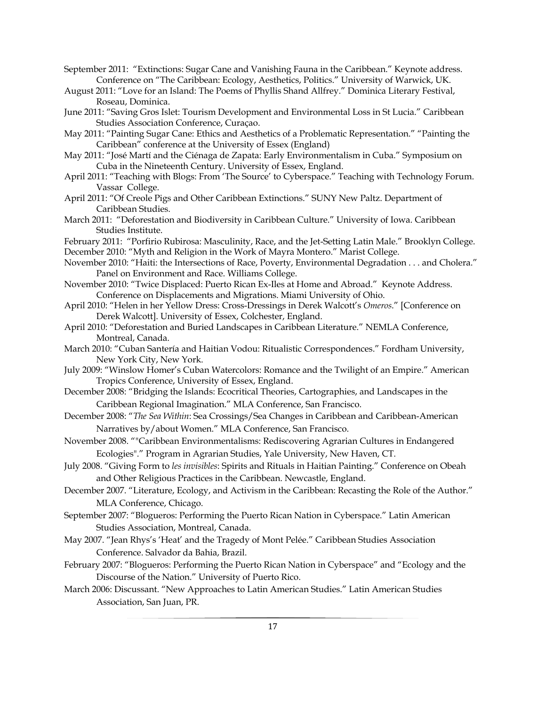September 2011: "Extinctions: Sugar Cane and Vanishing Fauna in the Caribbean." Keynote address. Conference on "The Caribbean: Ecology, Aesthetics, Politics." University of Warwick, UK.

- August 2011: "Love for an Island: The Poems of Phyllis Shand Allfrey." Dominica Literary Festival, Roseau, Dominica.
- June 2011: "Saving Gros Islet: Tourism Development and Environmental Loss in St Lucia." Caribbean Studies Association Conference, Curaçao.
- May 2011: "Painting Sugar Cane: Ethics and Aesthetics of a Problematic Representation." "Painting the Caribbean" conference at the University of Essex (England)
- May 2011: "José Martí and the Ciénaga de Zapata: Early Environmentalism in Cuba." Symposium on Cuba in the Nineteenth Century. University of Essex, England.
- April 2011: "Teaching with Blogs: From 'The Source' to Cyberspace." Teaching with Technology Forum. Vassar College.
- April 2011: "Of Creole Pigs and Other Caribbean Extinctions." SUNY New Paltz. Department of Caribbean Studies.
- March 2011: "Deforestation and Biodiversity in Caribbean Culture." University of Iowa. Caribbean Studies Institute.
- February 2011: "Porfirio Rubirosa: Masculinity, Race, and the Jet-Setting Latin Male." Brooklyn College. December 2010: "Myth and Religion in the Work of Mayra Montero." Marist College.
- November 2010: "Haiti: the Intersections of Race, Poverty, Environmental Degradation . . . and Cholera." Panel on Environment and Race. Williams College.
- November 2010: "Twice Displaced: Puerto Rican Ex-Iles at Home and Abroad." Keynote Address. Conference on Displacements and Migrations. Miami University of Ohio.
- April 2010: "Helen in her Yellow Dress: Cross-Dressings in Derek Walcott's *Omeros*." [Conference on Derek Walcott]. University of Essex, Colchester, England.
- April 2010: "Deforestation and Buried Landscapes in Caribbean Literature." NEMLA Conference, Montreal, Canada.
- March 2010: "Cuban Santería and Haitian Vodou: Ritualistic Correspondences." Fordham University, New York City, New York.
- July 2009: "Winslow Homer's Cuban Watercolors: Romance and the Twilight of an Empire." American Tropics Conference, University of Essex, England.
- December 2008: "Bridging the Islands: Ecocritical Theories, Cartographies, and Landscapes in the Caribbean Regional Imagination." MLA Conference, San Francisco.
- December 2008: "*The Sea Within*: Sea Crossings/Sea Changes in Caribbean and Caribbean-American Narratives by/about Women." MLA Conference, San Francisco.
- November 2008. ""Caribbean Environmentalisms: Rediscovering Agrarian Cultures in Endangered Ecologies"." Program in Agrarian Studies, Yale University, New Haven, CT.
- July 2008. "Giving Form to *les invisibles*: Spirits and Rituals in Haitian Painting." Conference on Obeah and Other Religious Practices in the Caribbean. Newcastle, England.
- December 2007. "Literature, Ecology, and Activism in the Caribbean: Recasting the Role of the Author." MLA Conference, Chicago.
- September 2007: "Blogueros: Performing the Puerto Rican Nation in Cyberspace." Latin American Studies Association, Montreal, Canada.
- May 2007. "Jean Rhys's 'Heat' and the Tragedy of Mont Pelée." Caribbean Studies Association Conference. Salvador da Bahia, Brazil.
- February 2007: "Blogueros: Performing the Puerto Rican Nation in Cyberspace" and "Ecology and the Discourse of the Nation." University of Puerto Rico.
- March 2006: Discussant. "New Approaches to Latin American Studies." Latin American Studies Association, San Juan, PR.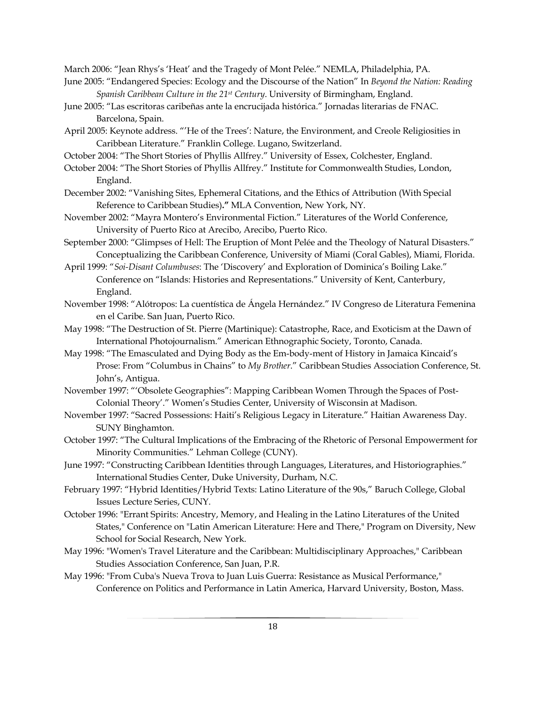March 2006: "Jean Rhys's 'Heat' and the Tragedy of Mont Pelée." NEMLA, Philadelphia, PA.

- June 2005: "Endangered Species: Ecology and the Discourse of the Nation" In *Beyond the Nation: Reading Spanish Caribbean Culture in the 21st Century*. University of Birmingham, England.
- June 2005: "Las escritoras caribeñas ante la encrucijada histórica." Jornadas literarias de FNAC. Barcelona, Spain.
- April 2005: Keynote address. "'He of the Trees': Nature, the Environment, and Creole Religiosities in Caribbean Literature." Franklin College. Lugano, Switzerland.
- October 2004: "The Short Stories of Phyllis Allfrey." University of Essex, Colchester, England.
- October 2004: "The Short Stories of Phyllis Allfrey." Institute for Commonwealth Studies, London, England.
- December 2002: "Vanishing Sites, Ephemeral Citations, and the Ethics of Attribution (With Special Reference to Caribbean Studies)**."** MLA Convention, New York, NY.
- November 2002: "Mayra Montero's Environmental Fiction." Literatures of the World Conference, University of Puerto Rico at Arecibo, Arecibo, Puerto Rico.
- September 2000: "Glimpses of Hell: The Eruption of Mont Pelée and the Theology of Natural Disasters." Conceptualizing the Caribbean Conference, University of Miami (Coral Gables), Miami, Florida.
- April 1999: "*Soi-Disant Columbuses*: The 'Discovery' and Exploration of Dominica's Boiling Lake." Conference on "Islands: Histories and Representations." University of Kent, Canterbury, England.
- November 1998: "Alótropos: La cuentística de Ángela Hernández." IV Congreso de Literatura Femenina en el Caribe. San Juan, Puerto Rico.
- May 1998: "The Destruction of St. Pierre (Martinique): Catastrophe, Race, and Exoticism at the Dawn of International Photojournalism." American Ethnographic Society, Toronto, Canada.
- May 1998: "The Emasculated and Dying Body as the Em-body-ment of History in Jamaica Kincaid's Prose: From "Columbus in Chains" to *My Brother*." Caribbean Studies Association Conference, St. John's, Antigua.
- November 1997: "'Obsolete Geographies": Mapping Caribbean Women Through the Spaces of Post-Colonial Theory'." Women's Studies Center, University of Wisconsin at Madison.
- November 1997: "Sacred Possessions: Haiti's Religious Legacy in Literature." Haitian Awareness Day. SUNY Binghamton.
- October 1997: "The Cultural Implications of the Embracing of the Rhetoric of Personal Empowerment for Minority Communities." Lehman College (CUNY).
- June 1997: "Constructing Caribbean Identities through Languages, Literatures, and Historiographies." International Studies Center, Duke University, Durham, N.C.
- February 1997: "Hybrid Identities/Hybrid Texts: Latino Literature of the 90s," Baruch College, Global Issues Lecture Series, CUNY.
- October 1996: "Errant Spirits: Ancestry, Memory, and Healing in the Latino Literatures of the United States," Conference on "Latin American Literature: Here and There," Program on Diversity, New School for Social Research, New York.
- May 1996: "Women's Travel Literature and the Caribbean: Multidisciplinary Approaches," Caribbean Studies Association Conference, San Juan, P.R.
- May 1996: "From Cuba's Nueva Trova to Juan Luis Guerra: Resistance as Musical Performance," Conference on Politics and Performance in Latin America, Harvard University, Boston, Mass.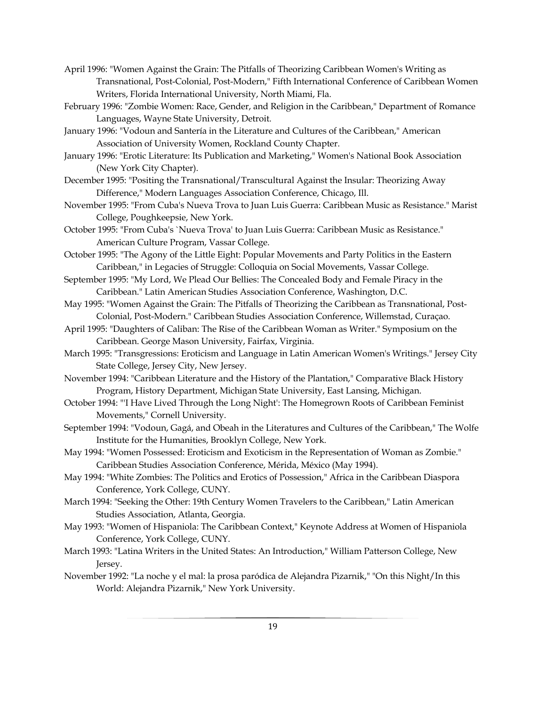- April 1996: "Women Against the Grain: The Pitfalls of Theorizing Caribbean Women's Writing as Transnational, Post-Colonial, Post-Modern," Fifth International Conference of Caribbean Women Writers, Florida International University, North Miami, Fla.
- February 1996: "Zombie Women: Race, Gender, and Religion in the Caribbean," Department of Romance Languages, Wayne State University, Detroit.
- January 1996: "Vodoun and Santería in the Literature and Cultures of the Caribbean," American Association of University Women, Rockland County Chapter.
- January 1996: "Erotic Literature: Its Publication and Marketing," Women's National Book Association (New York City Chapter).
- December 1995: "Positing the Transnational/Transcultural Against the Insular: Theorizing Away Difference," Modern Languages Association Conference, Chicago, Ill.
- November 1995: "From Cuba's Nueva Trova to Juan Luis Guerra: Caribbean Music as Resistance." Marist College, Poughkeepsie, New York.
- October 1995: "From Cuba's `Nueva Trova' to Juan Luis Guerra: Caribbean Music as Resistance." American Culture Program, Vassar College.
- October 1995: "The Agony of the Little Eight: Popular Movements and Party Politics in the Eastern Caribbean," in Legacies of Struggle: Colloquia on Social Movements, Vassar College.
- September 1995: "My Lord, We Plead Our Bellies: The Concealed Body and Female Piracy in the Caribbean." Latin American Studies Association Conference, Washington, D.C.
- May 1995: "Women Against the Grain: The Pitfalls of Theorizing the Caribbean as Transnational, Post-Colonial, Post-Modern." Caribbean Studies Association Conference, Willemstad, Curaçao.
- April 1995: "Daughters of Caliban: The Rise of the Caribbean Woman as Writer." Symposium on the Caribbean. George Mason University, Fairfax, Virginia.
- March 1995: "Transgressions: Eroticism and Language in Latin American Women's Writings." Jersey City State College, Jersey City, New Jersey.
- November 1994: "Caribbean Literature and the History of the Plantation," Comparative Black History Program, History Department, Michigan State University, East Lansing, Michigan.
- October 1994: "'I Have Lived Through the Long Night': The Homegrown Roots of Caribbean Feminist Movements," Cornell University.
- September 1994: "Vodoun, Gagá, and Obeah in the Literatures and Cultures of the Caribbean," The Wolfe Institute for the Humanities, Brooklyn College, New York.
- May 1994: "Women Possessed: Eroticism and Exoticism in the Representation of Woman as Zombie." Caribbean Studies Association Conference, Mérida, México (May 1994).
- May 1994: "White Zombies: The Politics and Erotics of Possession," Africa in the Caribbean Diaspora Conference, York College, CUNY.
- March 1994: "Seeking the Other: 19th Century Women Travelers to the Caribbean," Latin American Studies Association, Atlanta, Georgia.
- May 1993: "Women of Hispaniola: The Caribbean Context," Keynote Address at Women of Hispaniola Conference, York College, CUNY.
- March 1993: "Latina Writers in the United States: An Introduction," William Patterson College, New Jersey.
- November 1992: "La noche y el mal: la prosa paródica de Alejandra Pizarnik," "On this Night/In this World: Alejandra Pizarnik," New York University.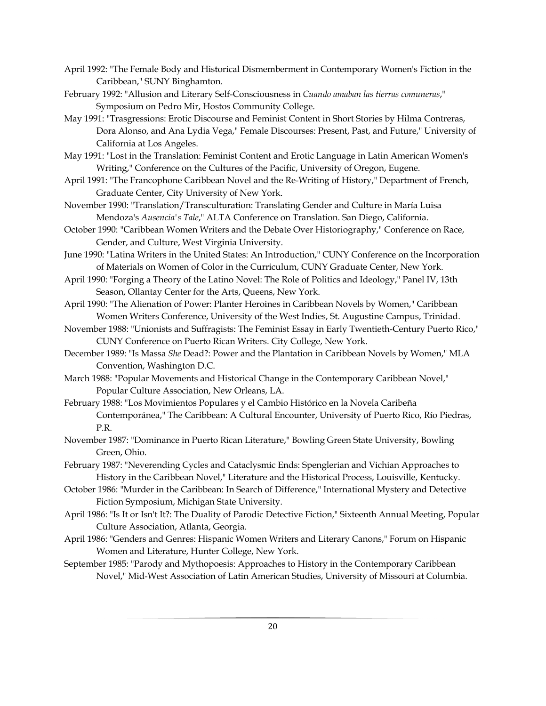- April 1992: "The Female Body and Historical Dismemberment in Contemporary Women's Fiction in the Caribbean," SUNY Binghamton.
- February 1992: "Allusion and Literary Self-Consciousness in *Cuando amaban las tierras comuneras*," Symposium on Pedro Mir, Hostos Community College.
- May 1991: "Trasgressions: Erotic Discourse and Feminist Content in Short Stories by Hilma Contreras, Dora Alonso, and Ana Lydia Vega," Female Discourses: Present, Past, and Future," University of California at Los Angeles.
- May 1991: "Lost in the Translation: Feminist Content and Erotic Language in Latin American Women's Writing," Conference on the Cultures of the Pacific, University of Oregon, Eugene.
- April 1991: "The Francophone Caribbean Novel and the Re-Writing of History," Department of French, Graduate Center, City University of New York.
- November 1990: "Translation/Transculturation: Translating Gender and Culture in María Luisa Mendoza's *Ausencia's Tale*," ALTA Conference on Translation. San Diego, California.
- October 1990: "Caribbean Women Writers and the Debate Over Historiography," Conference on Race, Gender, and Culture, West Virginia University.
- June 1990: "Latina Writers in the United States: An Introduction," CUNY Conference on the Incorporation of Materials on Women of Color in the Curriculum, CUNY Graduate Center, New York.
- April 1990: "Forging a Theory of the Latino Novel: The Role of Politics and Ideology," Panel IV, 13th Season, Ollantay Center for the Arts, Queens, New York.
- April 1990: "The Alienation of Power: Planter Heroines in Caribbean Novels by Women," Caribbean Women Writers Conference, University of the West Indies, St. Augustine Campus, Trinidad.
- November 1988: "Unionists and Suffragists: The Feminist Essay in Early Twentieth-Century Puerto Rico," CUNY Conference on Puerto Rican Writers. City College, New York.
- December 1989: "Is Massa *She* Dead?: Power and the Plantation in Caribbean Novels by Women," MLA Convention, Washington D.C.
- March 1988: "Popular Movements and Historical Change in the Contemporary Caribbean Novel," Popular Culture Association, New Orleans, LA.
- February 1988: "Los Movimientos Populares y el Cambio Histórico en la Novela Caribeña Contemporánea," The Caribbean: A Cultural Encounter, University of Puerto Rico, Río Piedras, P.R.
- November 1987: "Dominance in Puerto Rican Literature," Bowling Green State University, Bowling Green, Ohio.
- February 1987: "Neverending Cycles and Cataclysmic Ends: Spenglerian and Vichian Approaches to History in the Caribbean Novel," Literature and the Historical Process, Louisville, Kentucky.
- October 1986: "Murder in the Caribbean: In Search of Difference," International Mystery and Detective Fiction Symposium, Michigan State University.
- April 1986: "Is It or Isn't It?: The Duality of Parodic Detective Fiction," Sixteenth Annual Meeting, Popular Culture Association, Atlanta, Georgia.
- April 1986: "Genders and Genres: Hispanic Women Writers and Literary Canons," Forum on Hispanic Women and Literature, Hunter College, New York.
- September 1985: "Parody and Mythopoesis: Approaches to History in the Contemporary Caribbean Novel," Mid-West Association of Latin American Studies, University of Missouri at Columbia.